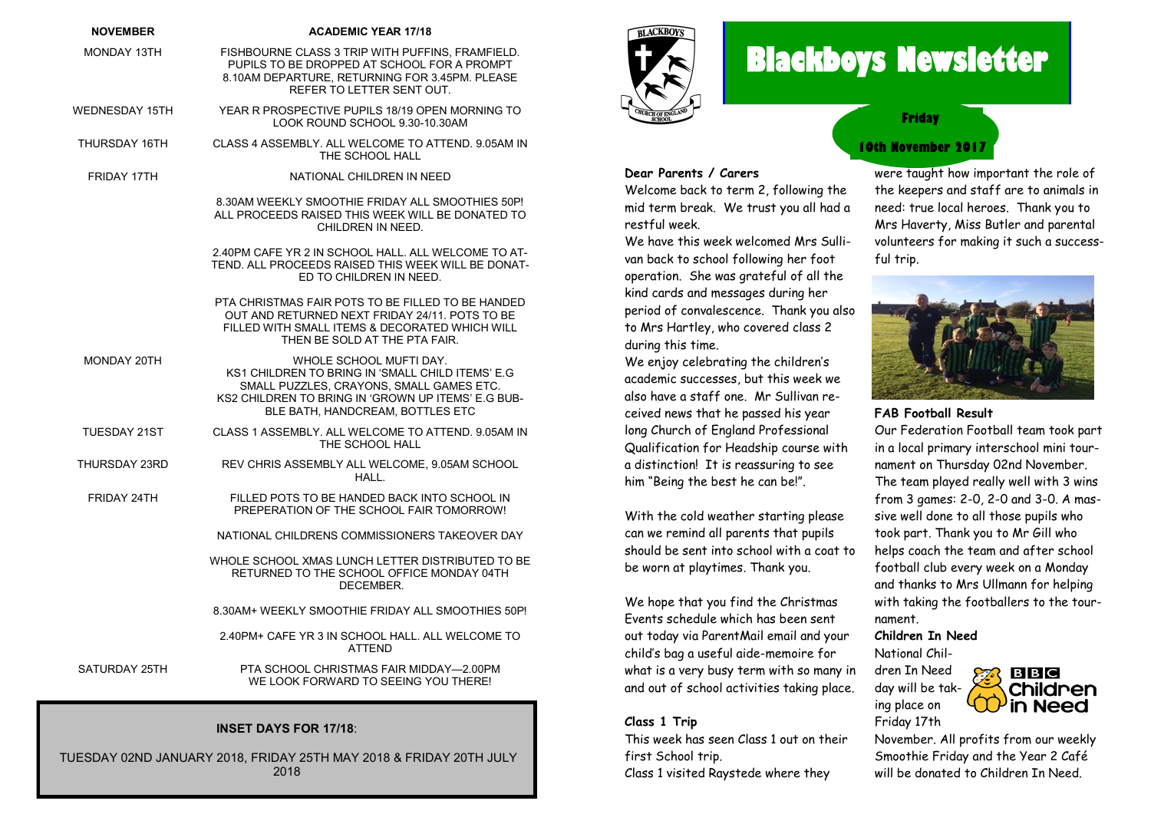## **NOVEMBER ACADEMIC YEAR 17/18** MONDAY 13TH FISHBOURNE CLASS 3 TRIP WITH PUFFINS, FRAMFIELD. PUPILS TO BE DROPPED AT SCHOOL FOR A PROMPT

8.10AM DEPARTURE, RETURNING FOR 3.45PM. PLEASE REFER TO LETTER SENT OUT.

- WEDNESDAY 15TH YEAR R PROSPECTIVE PUPILS 18/19 OPEN MORNING TO LOOK ROUND SCHOOL 9.30-10.30AM
- THURSDAY 16TH CLASS 4 ASSEMBLY. ALL WELCOME TO ATTEND. 9.05AM IN THE SCHOOL HALL
- FRIDAY 17TH NATIONAL CHILDREN IN NEED

8.30AM WEEKLY SMOOTHIE FRIDAY ALL SMOOTHIES 50P! ALL PROCEEDS RAISED THIS WEEK WILL BE DONATED TO CHILDREN IN NEED.

2.40PM CAFE YR 2 IN SCHOOL HALL. ALL WELCOME TO AT-TEND. ALL PROCEEDS RAISED THIS WEEK WILL BE DONAT-ED TO CHILDREN IN NEED.

PTA CHRISTMAS FAIR POTS TO BE FILLED TO BE HANDED OUT AND RETURNED NEXT FRIDAY 24/11. POTS TO BE FILLED WITH SMALL ITEMS & DECORATED WHICH WILL THEN BE SOLD AT THE PTA FAIR.

- MONDAY 20TH WHOLE SCHOOL MUFTI DAY. KS1 CHILDREN TO BRING IN 'SMALL CHILD ITEMS' E.G SMALL PUZZLES, CRAYONS, SMALL GAMES ETC. KS2 CHILDREN TO BRING IN 'GROWN UP ITEMS' E.G BUB-BLE BATH, HANDCREAM, BOTTLES ETC
- TUESDAY 21ST CLASS 1 ASSEMBLY. ALL WELCOME TO ATTEND. 9.05AM IN THE SCHOOL HALL
- THURSDAY 23RD REV CHRIS ASSEMBLY ALL WELCOME, 9.05AM SCHOOL HALL.
- FRIDAY 24TH FILLED POTS TO BE HANDED BACK INTO SCHOOL IN PREPERATION OF THE SCHOOL FAIR TOMORROW!

NATIONAL CHILDRENS COMMISSIONERS TAKEOVER DAY

WHOLE SCHOOL XMAS LUNCH LETTER DISTRIBUTED TO BE RETURNED TO THE SCHOOL OFFICE MONDAY 04TH DECEMBER.

8.30AM+ WEEKLY SMOOTHIE FRIDAY ALL SMOOTHIES 50P!

2.40PM+ CAFE YR 3 IN SCHOOL HALL. ALL WELCOME TO ATTEND

SATURDAY 25TH PTA SCHOOL CHRISTMAS FAIR MIDDAY—2.00PM WE LOOK FORWARD TO SEEING YOU THERE!

#### **INSET DAYS FOR 17/18**:

TUESDAY 02ND JANUARY 2018, FRIDAY 25TH MAY 2018 & FRIDAY 20TH JULY 2018



# **Blackboys Newsletter**

**Friday**

# **10th November 2017**

**Dear Parents / Carers** Welcome back to term 2, following the

mid term break. We trust you all had a restful week.

We have this week welcomed Mrs Sullivan back to school following her foot operation. She was grateful of all the kind cards and messages during her period of convalescence. Thank you also to Mrs Hartley, who covered class 2 during this time.

We enjoy celebrating the children's academic successes, but this week we also have a staff one. Mr Sullivan received news that he passed his year long Church of England Professional Qualification for Headship course with a distinction! It is reassuring to see him "Being the best he can be!".

With the cold weather starting please can we remind all parents that pupils should be sent into school with a coat to be worn at playtimes. Thank you.

We hope that you find the Christmas Events schedule which has been sent out today via ParentMail email and your child's bag a useful aide-memoire for what is a very busy term with so many in and out of school activities taking place.

#### **Class 1 Trip**

This week has seen Class 1 out on their first School trip. Class 1 visited Raystede where they

were taught how important the role of the keepers and staff are to animals in need: true local heroes. Thank you to Mrs Haverty, Miss Butler and parental volunteers for making it such a successful trip.



#### **FAB Football Result**

Our Federation Football team took part in a local primary interschool mini tournament on Thursday 02nd November. The team played really well with 3 wins from 3 games: 2-0, 2-0 and 3-0. A massive well done to all those pupils who took part. Thank you to Mr Gill who helps coach the team and after school football club every week on a Monday and thanks to Mrs Ullmann for helping with taking the footballers to the tournament.

#### **Children In Need**

National Children In Need day will be taking place on Friday 17th



November. All profits from our weekly Smoothie Friday and the Year 2 Café will be donated to Children In Need.